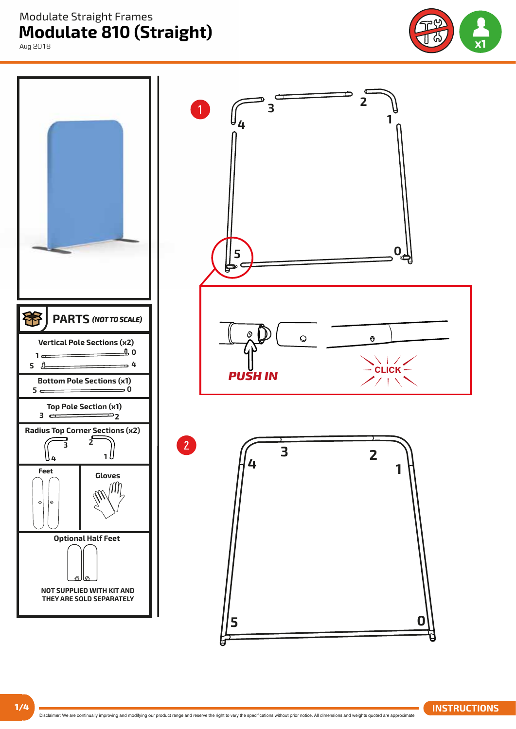**Modulate 810 (Straight)**  Modulate Straight Frames

Aug 2018



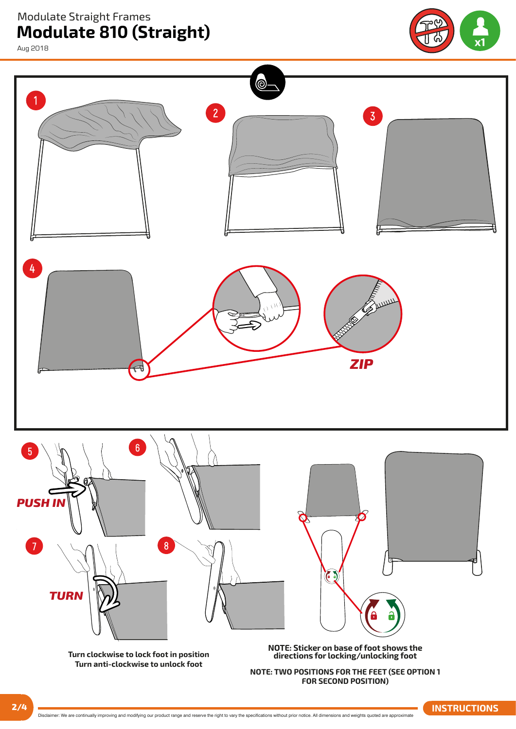**Modulate 810 (Straight)**  Modulate Straight Frames

Aug 2018



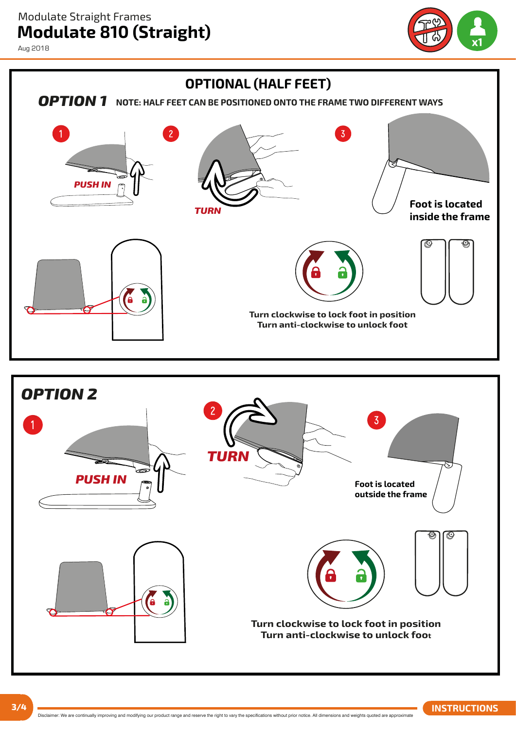